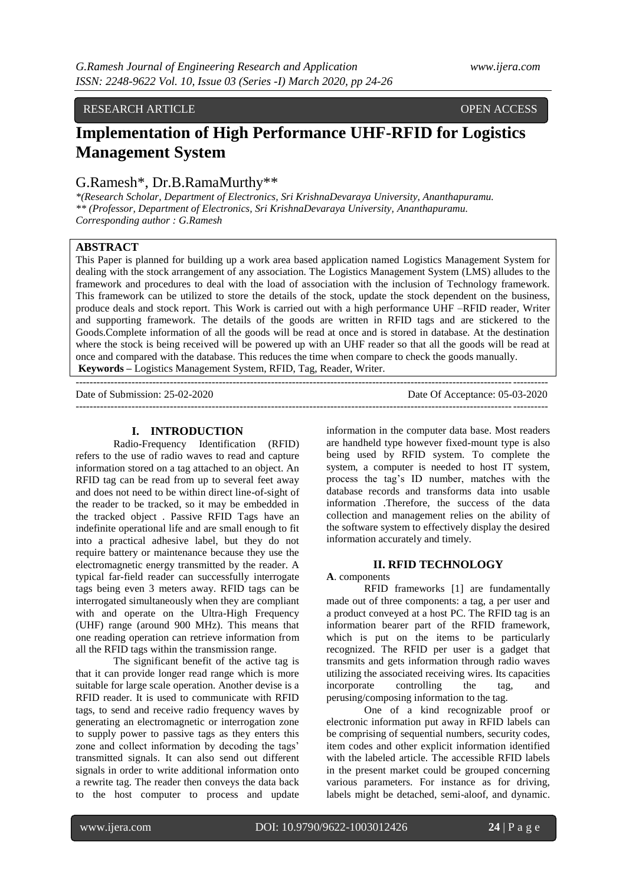## RESEARCH ARTICLE **OPEN ACCESS**

# **Implementation of High Performance UHF-RFID for Logistics Management System**

## G.Ramesh\*, Dr.B.RamaMurthy\*\*

*\*(Research Scholar, Department of Electronics, Sri KrishnaDevaraya University, Ananthapuramu. \*\* (Professor, Department of Electronics, Sri KrishnaDevaraya University, Ananthapuramu. Corresponding author : G.Ramesh*

## **ABSTRACT**

This Paper is planned for building up a work area based application named Logistics Management System for dealing with the stock arrangement of any association. The Logistics Management System (LMS) alludes to the framework and procedures to deal with the load of association with the inclusion of Technology framework. This framework can be utilized to store the details of the stock, update the stock dependent on the business, produce deals and stock report. This Work is carried out with a high performance UHF –RFID reader, Writer and supporting framework. The details of the goods are written in RFID tags and are stickered to the Goods.Complete information of all the goods will be read at once and is stored in database. At the destination where the stock is being received will be powered up with an UHF reader so that all the goods will be read at once and compared with the database. This reduces the time when compare to check the goods manually. **Keywords –** Logistics Management System, RFID, Tag, Reader, Writer.

 $-1-\frac{1}{2}$ 

Date of Submission: 25-02-2020 Date Of Acceptance: 05-03-2020

---------------------------------------------------------------------------------------------------------------------------------------

## **I. INTRODUCTION**

Radio-Frequency Identification (RFID) refers to the use of radio waves to read and capture information stored on a tag attached to an object. An RFID tag can be read from up to several feet away and does not need to be within direct line-of-sight of the reader to be tracked, so it may be embedded in the tracked object . Passive RFID Tags have an indefinite operational life and are small enough to fit into a practical adhesive label, but they do not require battery or maintenance because they use the electromagnetic energy transmitted by the reader. A typical far-field reader can successfully interrogate tags being even 3 meters away. RFID tags can be interrogated simultaneously when they are compliant with and operate on the Ultra-High Frequency (UHF) range (around 900 MHz). This means that one reading operation can retrieve information from all the RFID tags within the transmission range.

The significant benefit of the active tag is that it can provide longer read range which is more suitable for large scale operation. Another devise is a RFID reader. It is used to communicate with RFID tags, to send and receive radio frequency waves by generating an electromagnetic or interrogation zone to supply power to passive tags as they enters this zone and collect information by decoding the tags' transmitted signals. It can also send out different signals in order to write additional information onto a rewrite tag. The reader then conveys the data back to the host computer to process and update

information in the computer data base. Most readers are handheld type however fixed-mount type is also being used by RFID system. To complete the system, a computer is needed to host IT system, process the tag's ID number, matches with the database records and transforms data into usable information .Therefore, the success of the data collection and management relies on the ability of the software system to effectively display the desired information accurately and timely.

#### **II. RFID TECHNOLOGY**

**A**. components

RFID frameworks [1] are fundamentally made out of three components: a tag, a per user and a product conveyed at a host PC. The RFID tag is an information bearer part of the RFID framework, which is put on the items to be particularly recognized. The RFID per user is a gadget that transmits and gets information through radio waves utilizing the associated receiving wires. Its capacities incorporate controlling the tag, and perusing/composing information to the tag.

One of a kind recognizable proof or electronic information put away in RFID labels can be comprising of sequential numbers, security codes, item codes and other explicit information identified with the labeled article. The accessible RFID labels in the present market could be grouped concerning various parameters. For instance as for driving, labels might be detached, semi-aloof, and dynamic.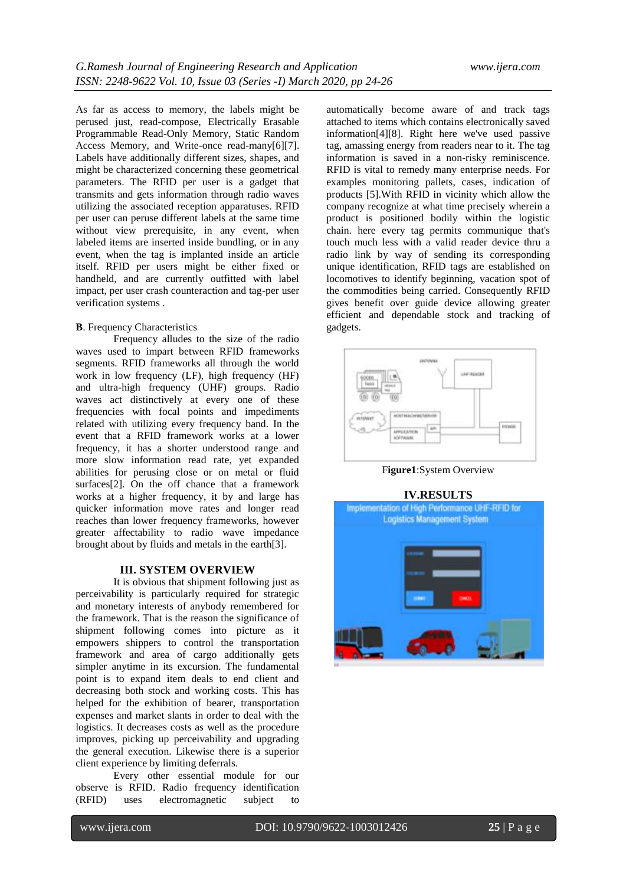As far as access to memory, the labels might be perused just, read-compose, Electrically Erasable Programmable Read-Only Memory, Static Random Access Memory, and Write-once read-many[6][7]. Labels have additionally different sizes, shapes, and might be characterized concerning these geometrical parameters. The RFID per user is a gadget that transmits and gets information through radio waves utilizing the associated reception apparatuses. RFID per user can peruse different labels at the same time without view prerequisite, in any event, when labeled items are inserted inside bundling, or in any event, when the tag is implanted inside an article itself. RFID per users might be either fixed or handheld, and are currently outfitted with label impact, per user crash counteraction and tag-per user verification systems .

#### **B**. Frequency Characteristics

Frequency alludes to the size of the radio waves used to impart between RFID frameworks segments. RFID frameworks all through the world work in low frequency (LF), high frequency (HF) and ultra-high frequency (UHF) groups. Radio waves act distinctively at every one of these frequencies with focal points and impediments related with utilizing every frequency band. In the event that a RFID framework works at a lower frequency, it has a shorter understood range and more slow information read rate, yet expanded abilities for perusing close or on metal or fluid surfaces[2]. On the off chance that a framework works at a higher frequency, it by and large has quicker information move rates and longer read reaches than lower frequency frameworks, however greater affectability to radio wave impedance brought about by fluids and metals in the earth[3].

## **III. SYSTEM OVERVIEW**

It is obvious that shipment following just as perceivability is particularly required for strategic and monetary interests of anybody remembered for the framework. That is the reason the significance of shipment following comes into picture as it empowers shippers to control the transportation framework and area of cargo additionally gets simpler anytime in its excursion. The fundamental point is to expand item deals to end client and decreasing both stock and working costs. This has helped for the exhibition of bearer, transportation expenses and market slants in order to deal with the logistics. It decreases costs as well as the procedure improves, picking up perceivability and upgrading the general execution. Likewise there is a superior client experience by limiting deferrals.

Every other essential module for our observe is RFID. Radio frequency identification (RFID) uses electromagnetic subject to

automatically become aware of and track tags attached to items which contains electronically saved information[4][8]. Right here we've used passive tag, amassing energy from readers near to it. The tag information is saved in a non-risky reminiscence. RFID is vital to remedy many enterprise needs. For examples monitoring pallets, cases, indication of products [5].With RFID in vicinity which allow the company recognize at what time precisely wherein a product is positioned bodily within the logistic chain. here every tag permits communique that's touch much less with a valid reader device thru a radio link by way of sending its corresponding unique identification, RFID tags are established on locomotives to identify beginning, vacation spot of the commodities being carried. Consequently RFID gives benefit over guide device allowing greater efficient and dependable stock and tracking of gadgets.



F**igure1**:System Overview